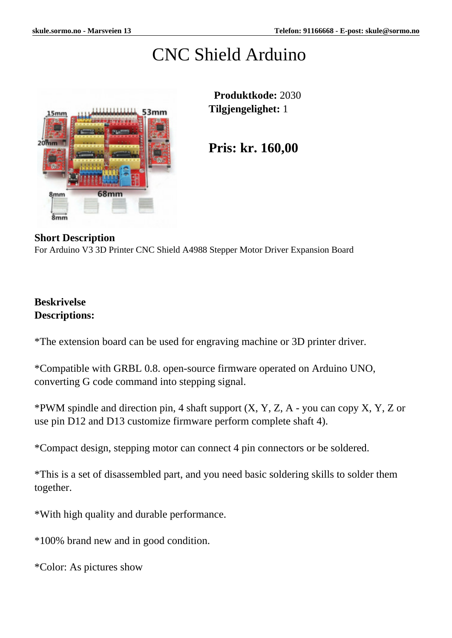# CNC Shield Arduino



 **Produktkode:** 2030 **Tilgjengelighet:** 1

**Pris: kr. 160,00**

#### **Short Description**

For Arduino V3 3D Printer CNC Shield A4988 Stepper Motor Driver Expansion Board

## **Beskrivelse Descriptions:**

\*The extension board can be used for engraving machine or 3D printer driver.

\*Compatible with GRBL 0.8. open-source firmware operated on Arduino UNO, converting G code command into stepping signal.

\*PWM spindle and direction pin, 4 shaft support  $(X, Y, Z, A -$ you can copy  $X, Y, Z$  or use pin D12 and D13 customize firmware perform complete shaft 4).

\*Compact design, stepping motor can connect 4 pin connectors or be soldered.

\*This is a set of disassembled part, and you need basic soldering skills to solder them together.

\*With high quality and durable performance.

\*100% brand new and in good condition.

\*Color: As pictures show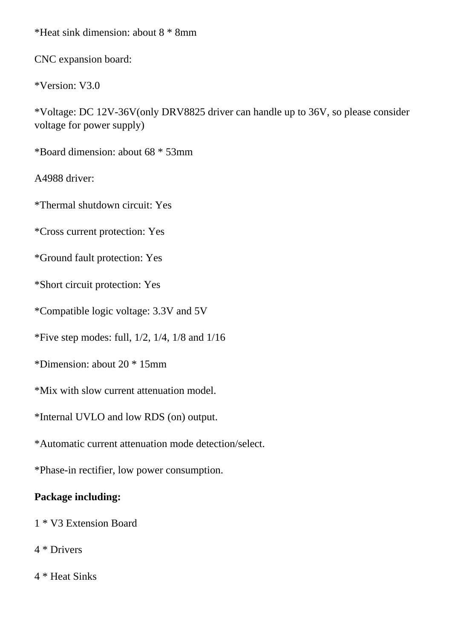\*Heat sink dimension: about 8 \* 8mm

CNC expansion board:

\*Version: V3.0

\*Voltage: DC 12V-36V(only DRV8825 driver can handle up to 36V, so please consider voltage for power supply)

\*Board dimension: about 68 \* 53mm

A4988 driver:

\*Thermal shutdown circuit: Yes

\*Cross current protection: Yes

\*Ground fault protection: Yes

\*Short circuit protection: Yes

\*Compatible logic voltage: 3.3V and 5V

\*Five step modes: full,  $1/2$ ,  $1/4$ ,  $1/8$  and  $1/16$ 

\*Dimension: about 20 \* 15mm

\*Mix with slow current attenuation model.

\*Internal UVLO and low RDS (on) output.

\*Automatic current attenuation mode detection/select.

\*Phase-in rectifier, low power consumption.

# **Package including:**

1 \* V3 Extension Board

4 \* Drivers

4 \* Heat Sinks